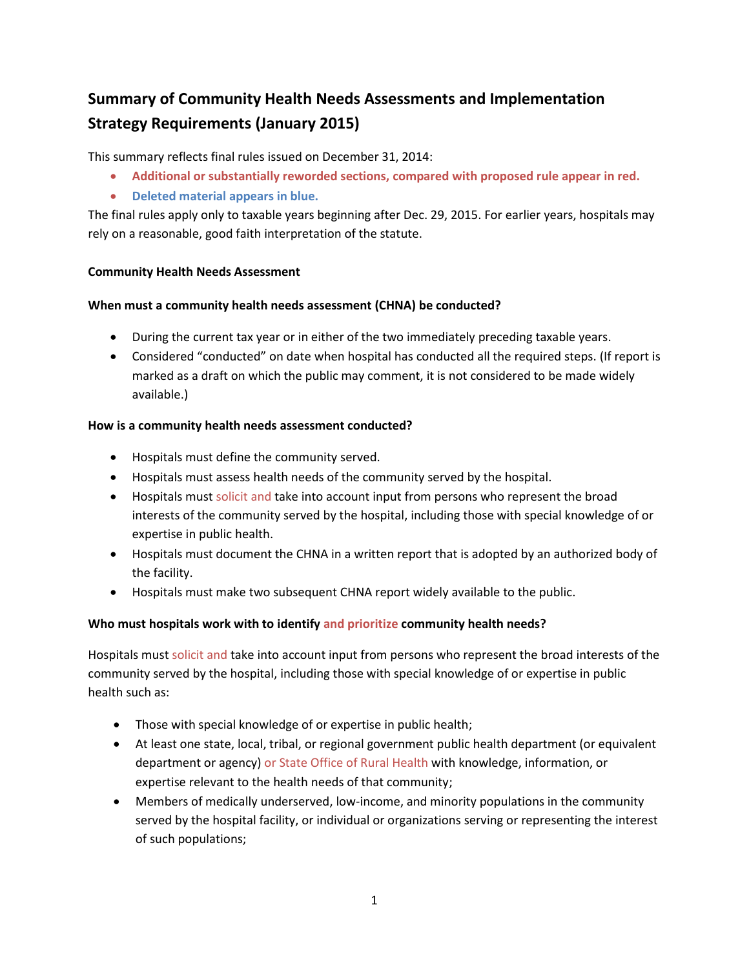# **Summary of Community Health Needs Assessments and Implementation Strategy Requirements (January 2015)**

This summary reflects final rules issued on December 31, 2014:

- **Additional or substantially reworded sections, compared with proposed rule appear in red.**
- **Deleted material appears in blue.**

The final rules apply only to taxable years beginning after Dec. 29, 2015. For earlier years, hospitals may rely on a reasonable, good faith interpretation of the statute.

## **Community Health Needs Assessment**

## **When must a community health needs assessment (CHNA) be conducted?**

- During the current tax year or in either of the two immediately preceding taxable years.
- Considered "conducted" on date when hospital has conducted all the required steps. (If report is marked as a draft on which the public may comment, it is not considered to be made widely available.)

## **How is a community health needs assessment conducted?**

- Hospitals must define the community served.
- Hospitals must assess health needs of the community served by the hospital.
- Hospitals must solicit and take into account input from persons who represent the broad interests of the community served by the hospital, including those with special knowledge of or expertise in public health.
- Hospitals must document the CHNA in a written report that is adopted by an authorized body of the facility.
- Hospitals must make two subsequent CHNA report widely available to the public.

# **Who must hospitals work with to identify and prioritize community health needs?**

Hospitals must solicit and take into account input from persons who represent the broad interests of the community served by the hospital, including those with special knowledge of or expertise in public health such as:

- Those with special knowledge of or expertise in public health;
- At least one state, local, tribal, or regional government public health department (or equivalent department or agency) or State Office of Rural Health with knowledge, information, or expertise relevant to the health needs of that community;
- Members of medically underserved, low-income, and minority populations in the community served by the hospital facility, or individual or organizations serving or representing the interest of such populations;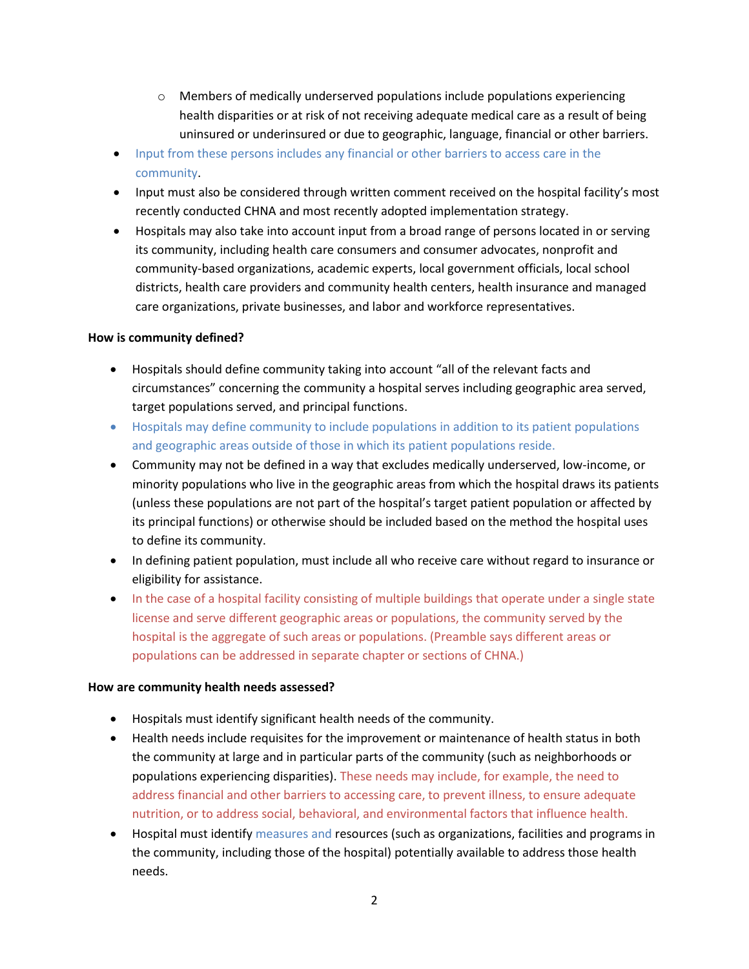- $\circ$  Members of medically underserved populations include populations experiencing health disparities or at risk of not receiving adequate medical care as a result of being uninsured or underinsured or due to geographic, language, financial or other barriers.
- Input from these persons includes any financial or other barriers to access care in the community.
- Input must also be considered through written comment received on the hospital facility's most recently conducted CHNA and most recently adopted implementation strategy.
- Hospitals may also take into account input from a broad range of persons located in or serving its community, including health care consumers and consumer advocates, nonprofit and community-based organizations, academic experts, local government officials, local school districts, health care providers and community health centers, health insurance and managed care organizations, private businesses, and labor and workforce representatives.

## **How is community defined?**

- Hospitals should define community taking into account "all of the relevant facts and circumstances" concerning the community a hospital serves including geographic area served, target populations served, and principal functions.
- Hospitals may define community to include populations in addition to its patient populations and geographic areas outside of those in which its patient populations reside.
- Community may not be defined in a way that excludes medically underserved, low-income, or minority populations who live in the geographic areas from which the hospital draws its patients (unless these populations are not part of the hospital's target patient population or affected by its principal functions) or otherwise should be included based on the method the hospital uses to define its community.
- In defining patient population, must include all who receive care without regard to insurance or eligibility for assistance.
- In the case of a hospital facility consisting of multiple buildings that operate under a single state license and serve different geographic areas or populations, the community served by the hospital is the aggregate of such areas or populations. (Preamble says different areas or populations can be addressed in separate chapter or sections of CHNA.)

## **How are community health needs assessed?**

- Hospitals must identify significant health needs of the community.
- Health needs include requisites for the improvement or maintenance of health status in both the community at large and in particular parts of the community (such as neighborhoods or populations experiencing disparities). These needs may include, for example, the need to address financial and other barriers to accessing care, to prevent illness, to ensure adequate nutrition, or to address social, behavioral, and environmental factors that influence health.
- Hospital must identify measures and resources (such as organizations, facilities and programs in the community, including those of the hospital) potentially available to address those health needs.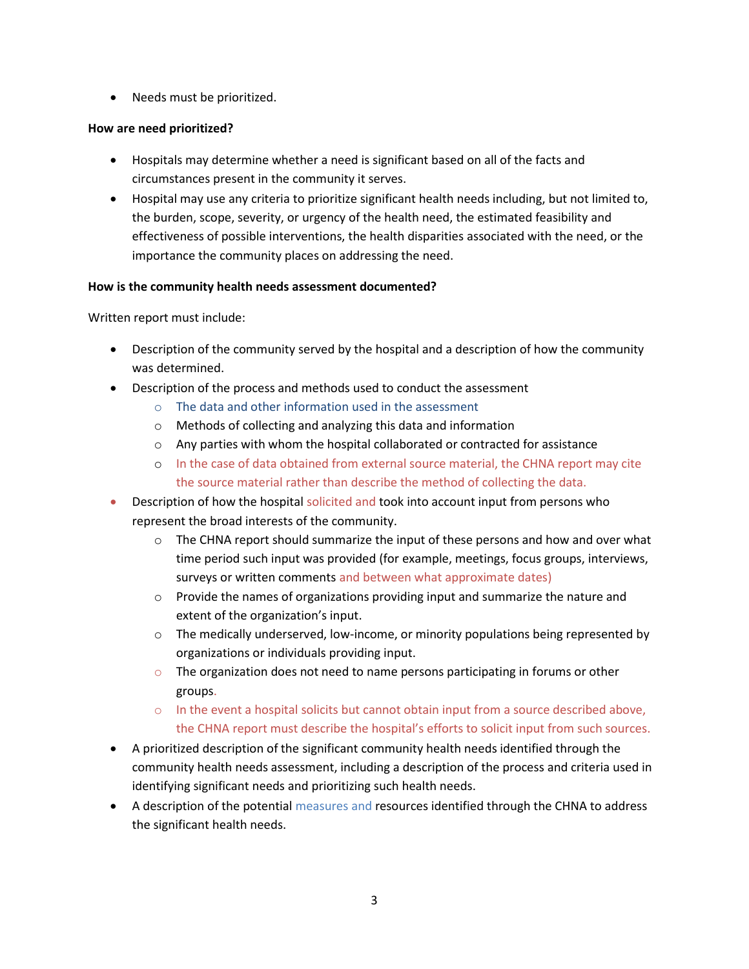• Needs must be prioritized.

# **How are need prioritized?**

- Hospitals may determine whether a need is significant based on all of the facts and circumstances present in the community it serves.
- Hospital may use any criteria to prioritize significant health needs including, but not limited to, the burden, scope, severity, or urgency of the health need, the estimated feasibility and effectiveness of possible interventions, the health disparities associated with the need, or the importance the community places on addressing the need.

## **How is the community health needs assessment documented?**

Written report must include:

- Description of the community served by the hospital and a description of how the community was determined.
- Description of the process and methods used to conduct the assessment
	- o The data and other information used in the assessment
	- o Methods of collecting and analyzing this data and information
	- o Any parties with whom the hospital collaborated or contracted for assistance
	- o In the case of data obtained from external source material, the CHNA report may cite the source material rather than describe the method of collecting the data.
- **•** Description of how the hospital solicited and took into account input from persons who represent the broad interests of the community.
	- $\circ$  The CHNA report should summarize the input of these persons and how and over what time period such input was provided (for example, meetings, focus groups, interviews, surveys or written comments and between what approximate dates)
	- $\circ$  Provide the names of organizations providing input and summarize the nature and extent of the organization's input.
	- $\circ$  The medically underserved, low-income, or minority populations being represented by organizations or individuals providing input.
	- $\circ$  The organization does not need to name persons participating in forums or other groups.
	- o In the event a hospital solicits but cannot obtain input from a source described above, the CHNA report must describe the hospital's efforts to solicit input from such sources.
- A prioritized description of the significant community health needs identified through the community health needs assessment, including a description of the process and criteria used in identifying significant needs and prioritizing such health needs.
- A description of the potential measures and resources identified through the CHNA to address the significant health needs.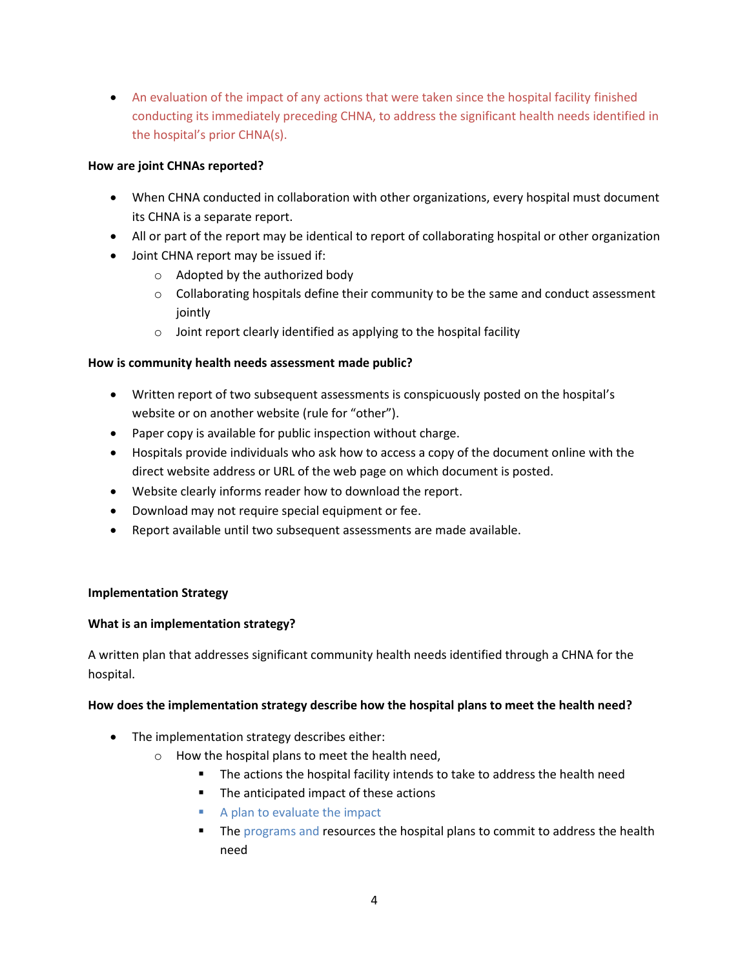An evaluation of the impact of any actions that were taken since the hospital facility finished conducting its immediately preceding CHNA, to address the significant health needs identified in the hospital's prior CHNA(s).

# **How are joint CHNAs reported?**

- When CHNA conducted in collaboration with other organizations, every hospital must document its CHNA is a separate report.
- All or part of the report may be identical to report of collaborating hospital or other organization
- Joint CHNA report may be issued if:
	- o Adopted by the authorized body
	- $\circ$  Collaborating hospitals define their community to be the same and conduct assessment jointly
	- $\circ$  Joint report clearly identified as applying to the hospital facility

## **How is community health needs assessment made public?**

- Written report of two subsequent assessments is conspicuously posted on the hospital's website or on another website (rule for "other").
- Paper copy is available for public inspection without charge.
- Hospitals provide individuals who ask how to access a copy of the document online with the direct website address or URL of the web page on which document is posted.
- Website clearly informs reader how to download the report.
- Download may not require special equipment or fee.
- Report available until two subsequent assessments are made available.

## **Implementation Strategy**

## **What is an implementation strategy?**

A written plan that addresses significant community health needs identified through a CHNA for the hospital.

## **How does the implementation strategy describe how the hospital plans to meet the health need?**

- The implementation strategy describes either:
	- o How the hospital plans to meet the health need,
		- The actions the hospital facility intends to take to address the health need
		- The anticipated impact of these actions
		- A plan to evaluate the impact
		- The programs and resources the hospital plans to commit to address the health need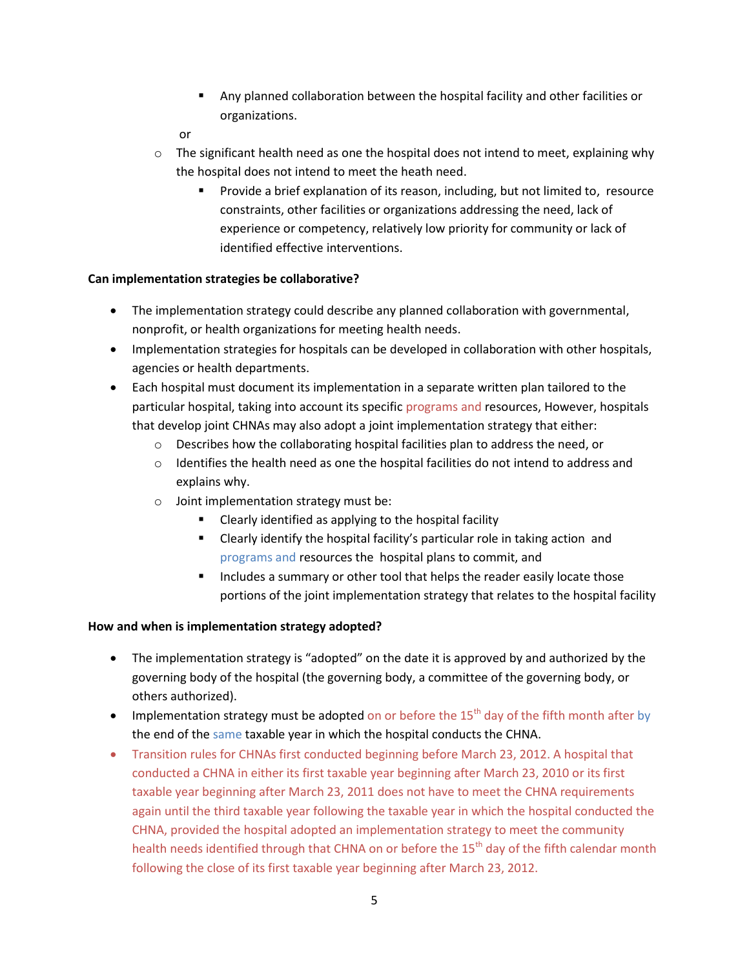- Any planned collaboration between the hospital facility and other facilities or organizations.
- or
- $\circ$  The significant health need as one the hospital does not intend to meet, explaining why the hospital does not intend to meet the heath need.
	- Provide a brief explanation of its reason, including, but not limited to, resource constraints, other facilities or organizations addressing the need, lack of experience or competency, relatively low priority for community or lack of identified effective interventions.

# **Can implementation strategies be collaborative?**

- The implementation strategy could describe any planned collaboration with governmental, nonprofit, or health organizations for meeting health needs.
- Implementation strategies for hospitals can be developed in collaboration with other hospitals, agencies or health departments.
- Each hospital must document its implementation in a separate written plan tailored to the particular hospital, taking into account its specific programs and resources, However, hospitals that develop joint CHNAs may also adopt a joint implementation strategy that either:
	- o Describes how the collaborating hospital facilities plan to address the need, or
	- o Identifies the health need as one the hospital facilities do not intend to address and explains why.
	- o Joint implementation strategy must be:
		- Clearly identified as applying to the hospital facility
		- Clearly identify the hospital facility's particular role in taking action and programs and resources the hospital plans to commit, and
		- Includes a summary or other tool that helps the reader easily locate those portions of the joint implementation strategy that relates to the hospital facility

# **How and when is implementation strategy adopted?**

- The implementation strategy is "adopted" on the date it is approved by and authorized by the governing body of the hospital (the governing body, a committee of the governing body, or others authorized).
- Implementation strategy must be adopted on or before the  $15<sup>th</sup>$  day of the fifth month after by the end of the same taxable year in which the hospital conducts the CHNA.
- Transition rules for CHNAs first conducted beginning before March 23, 2012. A hospital that conducted a CHNA in either its first taxable year beginning after March 23, 2010 or its first taxable year beginning after March 23, 2011 does not have to meet the CHNA requirements again until the third taxable year following the taxable year in which the hospital conducted the CHNA, provided the hospital adopted an implementation strategy to meet the community health needs identified through that CHNA on or before the 15<sup>th</sup> day of the fifth calendar month following the close of its first taxable year beginning after March 23, 2012.